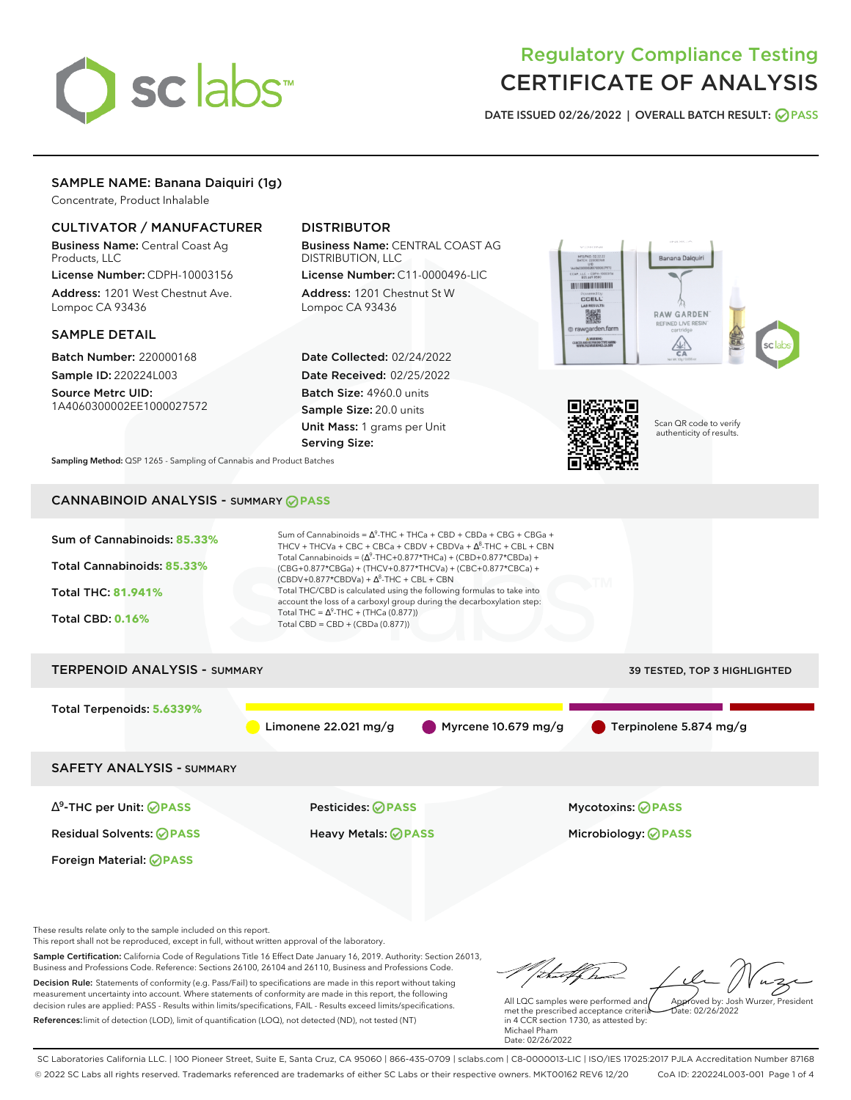

# Regulatory Compliance Testing CERTIFICATE OF ANALYSIS

**DATE ISSUED 02/26/2022 | OVERALL BATCH RESULT: PASS**

# SAMPLE NAME: Banana Daiquiri (1g)

Concentrate, Product Inhalable

# CULTIVATOR / MANUFACTURER

Business Name: Central Coast Ag Products, LLC

License Number: CDPH-10003156 Address: 1201 West Chestnut Ave. Lompoc CA 93436

### SAMPLE DETAIL

Batch Number: 220000168 Sample ID: 220224L003

Source Metrc UID: 1A4060300002EE1000027572

# DISTRIBUTOR

Business Name: CENTRAL COAST AG DISTRIBUTION, LLC

License Number: C11-0000496-LIC Address: 1201 Chestnut St W Lompoc CA 93436

Date Collected: 02/24/2022 Date Received: 02/25/2022 Batch Size: 4960.0 units Sample Size: 20.0 units Unit Mass: 1 grams per Unit Serving Size:





Scan QR code to verify authenticity of results.

**Sampling Method:** QSP 1265 - Sampling of Cannabis and Product Batches

# CANNABINOID ANALYSIS - SUMMARY **PASS**



These results relate only to the sample included on this report.

This report shall not be reproduced, except in full, without written approval of the laboratory.

Sample Certification: California Code of Regulations Title 16 Effect Date January 16, 2019. Authority: Section 26013, Business and Professions Code. Reference: Sections 26100, 26104 and 26110, Business and Professions Code. Decision Rule: Statements of conformity (e.g. Pass/Fail) to specifications are made in this report without taking measurement uncertainty into account. Where statements of conformity are made in this report, the following decision rules are applied: PASS - Results within limits/specifications, FAIL - Results exceed limits/specifications.

References:limit of detection (LOD), limit of quantification (LOQ), not detected (ND), not tested (NT)

tufften Approved by: Josh Wurzer, President

 $ate: 02/26/2022$ 

All LQC samples were performed and met the prescribed acceptance criteria in 4 CCR section 1730, as attested by: Michael Pham Date: 02/26/2022

SC Laboratories California LLC. | 100 Pioneer Street, Suite E, Santa Cruz, CA 95060 | 866-435-0709 | sclabs.com | C8-0000013-LIC | ISO/IES 17025:2017 PJLA Accreditation Number 87168 © 2022 SC Labs all rights reserved. Trademarks referenced are trademarks of either SC Labs or their respective owners. MKT00162 REV6 12/20 CoA ID: 220224L003-001 Page 1 of 4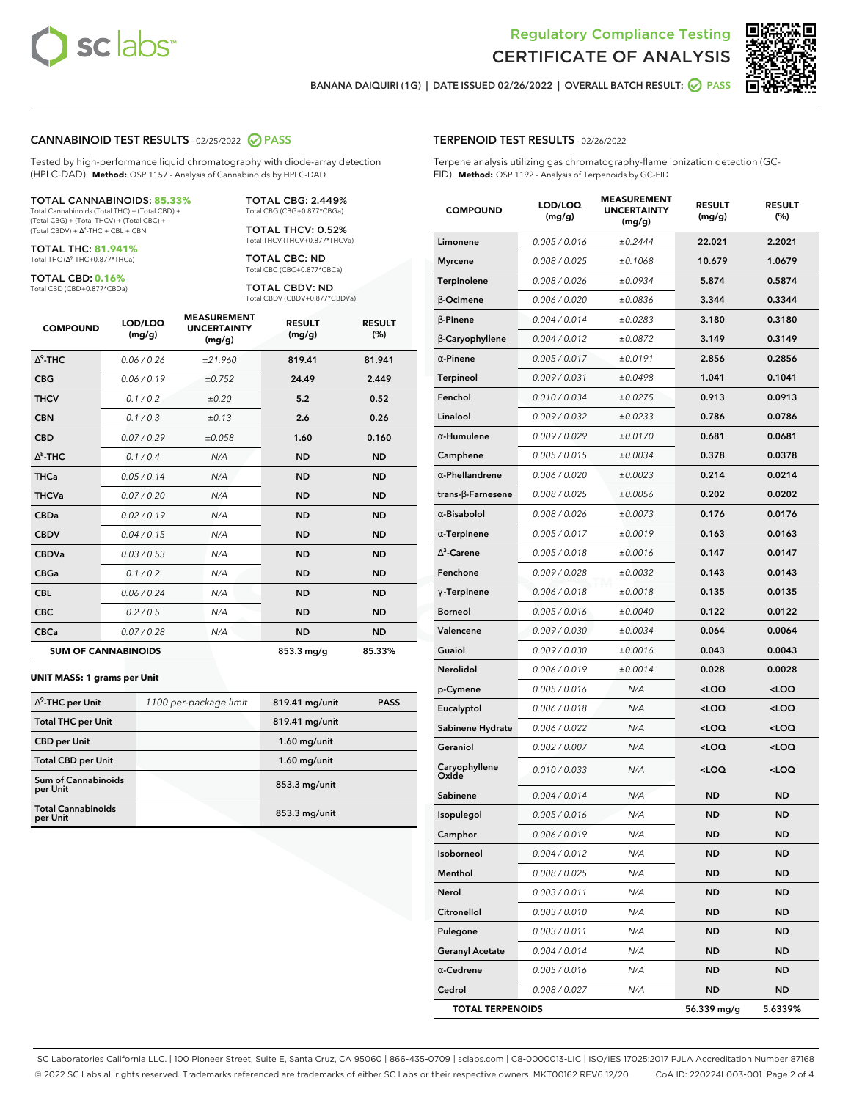



**BANANA DAIQUIRI (1G) | DATE ISSUED 02/26/2022 | OVERALL BATCH RESULT: PASS**

### **CANNABINOID TEST RESULTS** - 02/25/2022 **PASS**

Tested by high-performance liquid chromatography with diode-array detection (HPLC-DAD). **Method:** QSP 1157 - Analysis of Cannabinoids by HPLC-DAD

#### TOTAL CANNABINOIDS: **85.33%**

Total Cannabinoids (Total THC) + (Total CBD) + (Total CBG) + (Total THCV) + (Total CBC) +  $(Total CBDV) +  $\Delta^8$ -THC + CBL + CBN$ 

TOTAL THC: **81.941%** Total THC (Ƽ-THC+0.877\*THCa)

TOTAL CBD: **0.16%**

Total CBD (CBD+0.877\*CBDa)

TOTAL CBG: 2.449% Total CBG (CBG+0.877\*CBGa)

TOTAL THCV: 0.52% Total THCV (THCV+0.877\*THCVa)

TOTAL CBC: ND Total CBC (CBC+0.877\*CBCa)

TOTAL CBDV: ND Total CBDV (CBDV+0.877\*CBDVa)

| <b>COMPOUND</b>            | LOD/LOQ<br>(mg/g) | <b>MEASUREMENT</b><br><b>UNCERTAINTY</b><br>(mg/g) | <b>RESULT</b><br>(mg/g) | <b>RESULT</b><br>(%) |
|----------------------------|-------------------|----------------------------------------------------|-------------------------|----------------------|
| $\wedge^9$ -THC            | 0.06 / 0.26       | ±21.960                                            | 819.41                  | 81.941               |
| <b>CBG</b>                 | 0.06/0.19         | ±0.752                                             | 24.49                   | 2.449                |
| <b>THCV</b>                | 0.1 / 0.2         | ±0.20                                              | 5.2                     | 0.52                 |
| <b>CBN</b>                 | 0.1/0.3           | ±0.13                                              | 2.6                     | 0.26                 |
| <b>CBD</b>                 | 0.07/0.29         | ±0.058                                             | 1.60                    | 0.160                |
| $\Delta^8$ -THC            | 0.1/0.4           | N/A                                                | <b>ND</b>               | <b>ND</b>            |
| <b>THCa</b>                | 0.05/0.14         | N/A                                                | <b>ND</b>               | <b>ND</b>            |
| <b>THCVa</b>               | 0.07/0.20         | N/A                                                | <b>ND</b>               | <b>ND</b>            |
| <b>CBDa</b>                | 0.02/0.19         | N/A                                                | <b>ND</b>               | <b>ND</b>            |
| <b>CBDV</b>                | 0.04 / 0.15       | N/A                                                | <b>ND</b>               | <b>ND</b>            |
| <b>CBDVa</b>               | 0.03/0.53         | N/A                                                | <b>ND</b>               | <b>ND</b>            |
| <b>CBGa</b>                | 0.1 / 0.2         | N/A                                                | <b>ND</b>               | <b>ND</b>            |
| <b>CBL</b>                 | 0.06 / 0.24       | N/A                                                | <b>ND</b>               | <b>ND</b>            |
| <b>CBC</b>                 | 0.2 / 0.5         | N/A                                                | <b>ND</b>               | <b>ND</b>            |
| <b>CBCa</b>                | 0.07/0.28         | N/A                                                | <b>ND</b>               | <b>ND</b>            |
| <b>SUM OF CANNABINOIDS</b> |                   |                                                    | 853.3 mg/g              | 85.33%               |

#### **UNIT MASS: 1 grams per Unit**

| $\Delta^9$ -THC per Unit               | 1100 per-package limit | 819.41 mg/unit  | <b>PASS</b> |
|----------------------------------------|------------------------|-----------------|-------------|
| <b>Total THC per Unit</b>              |                        | 819.41 mg/unit  |             |
| <b>CBD</b> per Unit                    |                        | $1.60$ mg/unit  |             |
| <b>Total CBD per Unit</b>              |                        | $1.60$ mg/unit  |             |
| <b>Sum of Cannabinoids</b><br>per Unit |                        | 853.3 mg/unit   |             |
| <b>Total Cannabinoids</b><br>per Unit  |                        | $853.3$ mg/unit |             |

| <b>COMPOUND</b>          | LOD/LOQ<br>(mg/g) | <b>MEASUREMENT</b><br><b>UNCERTAINTY</b><br>(mg/g) | <b>RESULT</b><br>(mg/g)                         | <b>RESULT</b><br>$(\%)$ |
|--------------------------|-------------------|----------------------------------------------------|-------------------------------------------------|-------------------------|
| Limonene                 | 0.005 / 0.016     | ±0.2444                                            | 22.021                                          | 2.2021                  |
| <b>Myrcene</b>           | 0.008 / 0.025     | ±0.1068                                            | 10.679                                          | 1.0679                  |
| Terpinolene              | 0.008 / 0.026     | ±0.0934                                            | 5.874                                           | 0.5874                  |
| $\beta$ -Ocimene         | 0.006 / 0.020     | ±0.0836                                            | 3.344                                           | 0.3344                  |
| $\beta$ -Pinene          | 0.004 / 0.014     | ±0.0283                                            | 3.180                                           | 0.3180                  |
| β-Caryophyllene          | 0.004 / 0.012     | ±0.0872                                            | 3.149                                           | 0.3149                  |
| $\alpha$ -Pinene         | 0.005 / 0.017     | ±0.0191                                            | 2.856                                           | 0.2856                  |
| <b>Terpineol</b>         | 0.009 / 0.031     | ±0.0498                                            | 1.041                                           | 0.1041                  |
| Fenchol                  | 0.010 / 0.034     | ±0.0275                                            | 0.913                                           | 0.0913                  |
| Linalool                 | 0.009 / 0.032     | ±0.0233                                            | 0.786                                           | 0.0786                  |
| $\alpha$ -Humulene       | 0.009 / 0.029     | ±0.0170                                            | 0.681                                           | 0.0681                  |
| Camphene                 | 0.005 / 0.015     | ±0.0034                                            | 0.378                                           | 0.0378                  |
| $\alpha$ -Phellandrene   | 0.006 / 0.020     | ±0.0023                                            | 0.214                                           | 0.0214                  |
| $trans-\beta$ -Farnesene | 0.008 / 0.025     | ±0.0056                                            | 0.202                                           | 0.0202                  |
| $\alpha$ -Bisabolol      | 0.008 / 0.026     | ±0.0073                                            | 0.176                                           | 0.0176                  |
| $\alpha$ -Terpinene      | 0.005 / 0.017     | ±0.0019                                            | 0.163                                           | 0.0163                  |
| $\Delta^3$ -Carene       | 0.005 / 0.018     | ±0.0016                                            | 0.147                                           | 0.0147                  |
| Fenchone                 | 0.009 / 0.028     | ±0.0032                                            | 0.143                                           | 0.0143                  |
| $\gamma$ -Terpinene      | 0.006 / 0.018     | ±0.0018                                            | 0.135                                           | 0.0135                  |
| <b>Borneol</b>           | 0.005 / 0.016     | ±0.0040                                            | 0.122                                           | 0.0122                  |
| Valencene                | 0.009 / 0.030     | ±0.0034                                            | 0.064                                           | 0.0064                  |
| Guaiol                   | 0.009 / 0.030     | ±0.0016                                            | 0.043                                           | 0.0043                  |
| Nerolidol                | 0.006 / 0.019     | ±0.0014                                            | 0.028                                           | 0.0028                  |
| p-Cymene                 | 0.005 / 0.016     | N/A                                                | <loq< th=""><th><loq< th=""></loq<></th></loq<> | <loq< th=""></loq<>     |
| Eucalyptol               | 0.006 / 0.018     | N/A                                                | <loq< th=""><th><loq< th=""></loq<></th></loq<> | <loq< th=""></loq<>     |
| Sabinene Hydrate         | 0.006 / 0.022     | N/A                                                | <loq< th=""><th><loq< th=""></loq<></th></loq<> | <loq< th=""></loq<>     |
| Geraniol                 | 0.002 / 0.007     | N/A                                                | <loq< th=""><th><loq< th=""></loq<></th></loq<> | <loq< th=""></loq<>     |
| Caryophyllene<br>Oxide   | 0.010 / 0.033     | N/A                                                | <loq< th=""><th><loq< th=""></loq<></th></loq<> | <loq< th=""></loq<>     |
| Sabinene                 | 0.004 / 0.014     | N/A                                                | <b>ND</b>                                       | ND                      |
| <b>Isopulegol</b>        | 0.005 / 0.016     | N/A                                                | <b>ND</b>                                       | <b>ND</b>               |
| Camphor                  | 0.006 / 0.019     | N/A                                                | ND                                              | ND                      |
| Isoborneol               | 0.004 / 0.012     | N/A                                                | ND                                              | ND                      |
| Menthol                  | 0.008 / 0.025     | N/A                                                | ND                                              | ND                      |
| Nerol                    | 0.003 / 0.011     | N/A                                                | ND                                              | ND                      |
| Citronellol              | 0.003 / 0.010     | N/A                                                | ND                                              | ND                      |
| Pulegone                 | 0.003 / 0.011     | N/A                                                | ND                                              | ND                      |
| <b>Geranyl Acetate</b>   | 0.004 / 0.014     | N/A                                                | ND                                              | ND                      |
| $\alpha$ -Cedrene        | 0.005 / 0.016     | N/A                                                | ND                                              | ND                      |
| Cedrol                   | 0.008 / 0.027     | N/A                                                | ND                                              | ND                      |
| <b>TOTAL TERPENOIDS</b>  |                   |                                                    | 56.339 mg/g                                     | 5.6339%                 |

SC Laboratories California LLC. | 100 Pioneer Street, Suite E, Santa Cruz, CA 95060 | 866-435-0709 | sclabs.com | C8-0000013-LIC | ISO/IES 17025:2017 PJLA Accreditation Number 87168 © 2022 SC Labs all rights reserved. Trademarks referenced are trademarks of either SC Labs or their respective owners. MKT00162 REV6 12/20 CoA ID: 220224L003-001 Page 2 of 4

# **TERPENOID TEST RESULTS** - 02/26/2022

Terpene analysis utilizing gas chromatography-flame ionization detection (GC-FID). **Method:** QSP 1192 - Analysis of Terpenoids by GC-FID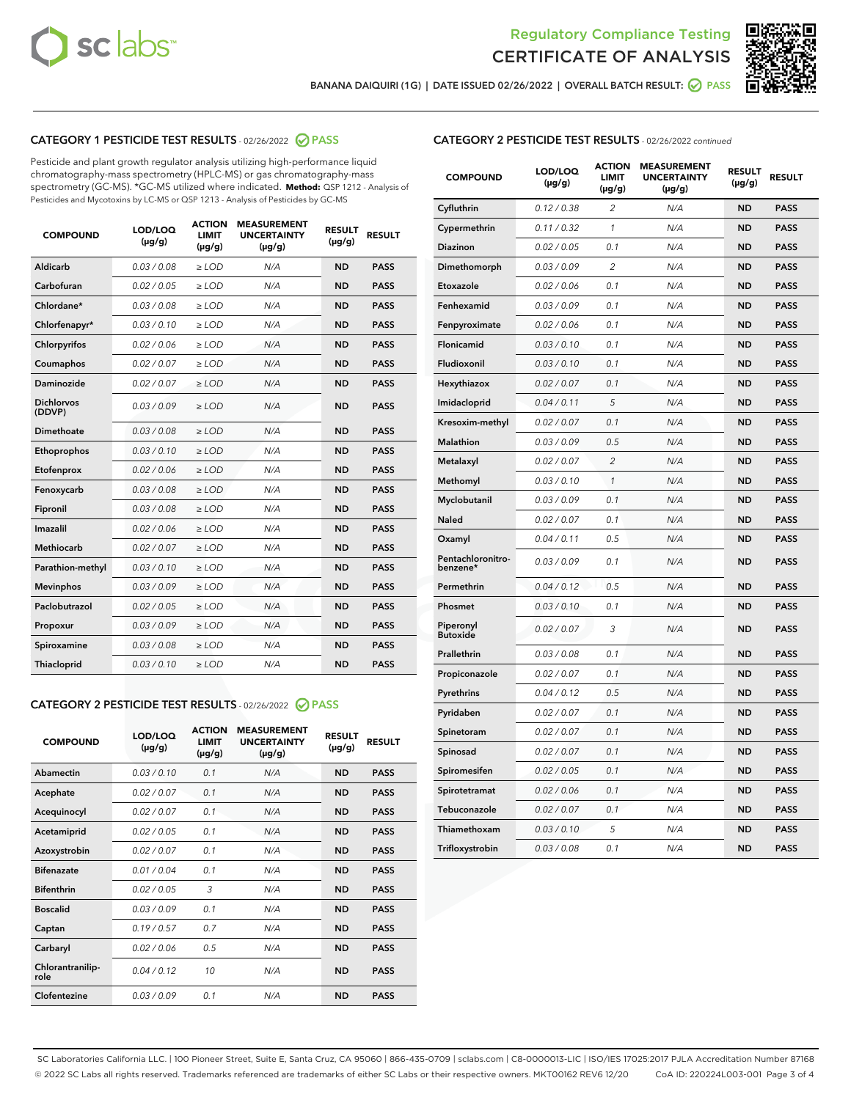



**BANANA DAIQUIRI (1G) | DATE ISSUED 02/26/2022 | OVERALL BATCH RESULT: PASS**

# **CATEGORY 1 PESTICIDE TEST RESULTS** - 02/26/2022 **PASS**

Pesticide and plant growth regulator analysis utilizing high-performance liquid chromatography-mass spectrometry (HPLC-MS) or gas chromatography-mass spectrometry (GC-MS). \*GC-MS utilized where indicated. **Method:** QSP 1212 - Analysis of Pesticides and Mycotoxins by LC-MS or QSP 1213 - Analysis of Pesticides by GC-MS

| 0.03 / 0.08<br>Aldicarb<br>$\ge$ LOD<br><b>ND</b><br><b>PASS</b><br>N/A<br>Carbofuran<br>0.02 / 0.05<br>$\geq$ LOD<br>N/A<br><b>ND</b><br><b>PASS</b><br>Chlordane*<br>0.03 / 0.08<br>N/A<br><b>ND</b><br><b>PASS</b><br>$\geq$ LOD<br>Chlorfenapyr*<br>0.03/0.10<br>N/A<br><b>ND</b><br><b>PASS</b><br>≥ LOD<br>N/A<br><b>ND</b><br>Chlorpyrifos<br>0.02 / 0.06<br>≥ LOD<br><b>PASS</b><br>0.02 / 0.07<br>N/A<br>Coumaphos<br>$\ge$ LOD<br><b>ND</b><br><b>PASS</b><br><b>Daminozide</b><br>N/A<br><b>ND</b><br><b>PASS</b><br>0.02 / 0.07<br>$\geq$ LOD<br><b>Dichlorvos</b><br>0.03/0.09<br>N/A<br><b>ND</b><br>$\geq$ LOD<br><b>PASS</b><br>(DDVP)<br>Dimethoate<br>0.03/0.08<br>N/A<br><b>ND</b><br>$>$ LOD<br><b>PASS</b><br>Ethoprophos<br>0.03/0.10<br>$\ge$ LOD<br>N/A<br><b>ND</b><br><b>PASS</b><br>Etofenprox<br>0.02 / 0.06<br>$>$ LOD<br>N/A<br><b>ND</b><br><b>PASS</b><br>0.03 / 0.08<br>N/A<br><b>ND</b><br><b>PASS</b><br>Fenoxycarb<br>$\ge$ LOD<br><b>ND</b><br><b>PASS</b><br>Fipronil<br>0.03 / 0.08<br>$\ge$ LOD<br>N/A<br>Imazalil<br>0.02 / 0.06<br><b>ND</b><br><b>PASS</b><br>$>$ LOD<br>N/A<br><b>Methiocarb</b><br>0.02 / 0.07<br><b>PASS</b><br>$>$ LOD<br>N/A<br><b>ND</b><br>0.03/0.10<br>N/A<br><b>ND</b><br><b>PASS</b><br>Parathion-methyl<br>$\geq$ LOD<br><b>Mevinphos</b><br>0.03/0.09<br>$\ge$ LOD<br>N/A<br><b>ND</b><br><b>PASS</b><br>Paclobutrazol<br><b>PASS</b><br>0.02 / 0.05<br>$\geq$ LOD<br>N/A<br><b>ND</b><br>0.03/0.09<br>$\ge$ LOD<br>N/A<br><b>ND</b><br><b>PASS</b><br>Propoxur<br>0.03 / 0.08<br>N/A<br><b>ND</b><br>Spiroxamine<br>$\geq$ LOD<br><b>PASS</b><br><b>Thiacloprid</b><br>0.03/0.10<br>N/A<br><b>ND</b><br><b>PASS</b><br>$\geq$ LOD | <b>COMPOUND</b> | LOD/LOQ<br>$(\mu g/g)$ | <b>ACTION</b><br><b>LIMIT</b><br>$(\mu g/g)$ | <b>MEASUREMENT</b><br><b>UNCERTAINTY</b><br>$(\mu g/g)$ | <b>RESULT</b><br>$(\mu g/g)$ | <b>RESULT</b> |
|-----------------------------------------------------------------------------------------------------------------------------------------------------------------------------------------------------------------------------------------------------------------------------------------------------------------------------------------------------------------------------------------------------------------------------------------------------------------------------------------------------------------------------------------------------------------------------------------------------------------------------------------------------------------------------------------------------------------------------------------------------------------------------------------------------------------------------------------------------------------------------------------------------------------------------------------------------------------------------------------------------------------------------------------------------------------------------------------------------------------------------------------------------------------------------------------------------------------------------------------------------------------------------------------------------------------------------------------------------------------------------------------------------------------------------------------------------------------------------------------------------------------------------------------------------------------------------------------------------------------------------------------------------------------------------------------------------------|-----------------|------------------------|----------------------------------------------|---------------------------------------------------------|------------------------------|---------------|
|                                                                                                                                                                                                                                                                                                                                                                                                                                                                                                                                                                                                                                                                                                                                                                                                                                                                                                                                                                                                                                                                                                                                                                                                                                                                                                                                                                                                                                                                                                                                                                                                                                                                                                           |                 |                        |                                              |                                                         |                              |               |
|                                                                                                                                                                                                                                                                                                                                                                                                                                                                                                                                                                                                                                                                                                                                                                                                                                                                                                                                                                                                                                                                                                                                                                                                                                                                                                                                                                                                                                                                                                                                                                                                                                                                                                           |                 |                        |                                              |                                                         |                              |               |
|                                                                                                                                                                                                                                                                                                                                                                                                                                                                                                                                                                                                                                                                                                                                                                                                                                                                                                                                                                                                                                                                                                                                                                                                                                                                                                                                                                                                                                                                                                                                                                                                                                                                                                           |                 |                        |                                              |                                                         |                              |               |
|                                                                                                                                                                                                                                                                                                                                                                                                                                                                                                                                                                                                                                                                                                                                                                                                                                                                                                                                                                                                                                                                                                                                                                                                                                                                                                                                                                                                                                                                                                                                                                                                                                                                                                           |                 |                        |                                              |                                                         |                              |               |
|                                                                                                                                                                                                                                                                                                                                                                                                                                                                                                                                                                                                                                                                                                                                                                                                                                                                                                                                                                                                                                                                                                                                                                                                                                                                                                                                                                                                                                                                                                                                                                                                                                                                                                           |                 |                        |                                              |                                                         |                              |               |
|                                                                                                                                                                                                                                                                                                                                                                                                                                                                                                                                                                                                                                                                                                                                                                                                                                                                                                                                                                                                                                                                                                                                                                                                                                                                                                                                                                                                                                                                                                                                                                                                                                                                                                           |                 |                        |                                              |                                                         |                              |               |
|                                                                                                                                                                                                                                                                                                                                                                                                                                                                                                                                                                                                                                                                                                                                                                                                                                                                                                                                                                                                                                                                                                                                                                                                                                                                                                                                                                                                                                                                                                                                                                                                                                                                                                           |                 |                        |                                              |                                                         |                              |               |
|                                                                                                                                                                                                                                                                                                                                                                                                                                                                                                                                                                                                                                                                                                                                                                                                                                                                                                                                                                                                                                                                                                                                                                                                                                                                                                                                                                                                                                                                                                                                                                                                                                                                                                           |                 |                        |                                              |                                                         |                              |               |
|                                                                                                                                                                                                                                                                                                                                                                                                                                                                                                                                                                                                                                                                                                                                                                                                                                                                                                                                                                                                                                                                                                                                                                                                                                                                                                                                                                                                                                                                                                                                                                                                                                                                                                           |                 |                        |                                              |                                                         |                              |               |
|                                                                                                                                                                                                                                                                                                                                                                                                                                                                                                                                                                                                                                                                                                                                                                                                                                                                                                                                                                                                                                                                                                                                                                                                                                                                                                                                                                                                                                                                                                                                                                                                                                                                                                           |                 |                        |                                              |                                                         |                              |               |
|                                                                                                                                                                                                                                                                                                                                                                                                                                                                                                                                                                                                                                                                                                                                                                                                                                                                                                                                                                                                                                                                                                                                                                                                                                                                                                                                                                                                                                                                                                                                                                                                                                                                                                           |                 |                        |                                              |                                                         |                              |               |
|                                                                                                                                                                                                                                                                                                                                                                                                                                                                                                                                                                                                                                                                                                                                                                                                                                                                                                                                                                                                                                                                                                                                                                                                                                                                                                                                                                                                                                                                                                                                                                                                                                                                                                           |                 |                        |                                              |                                                         |                              |               |
|                                                                                                                                                                                                                                                                                                                                                                                                                                                                                                                                                                                                                                                                                                                                                                                                                                                                                                                                                                                                                                                                                                                                                                                                                                                                                                                                                                                                                                                                                                                                                                                                                                                                                                           |                 |                        |                                              |                                                         |                              |               |
|                                                                                                                                                                                                                                                                                                                                                                                                                                                                                                                                                                                                                                                                                                                                                                                                                                                                                                                                                                                                                                                                                                                                                                                                                                                                                                                                                                                                                                                                                                                                                                                                                                                                                                           |                 |                        |                                              |                                                         |                              |               |
|                                                                                                                                                                                                                                                                                                                                                                                                                                                                                                                                                                                                                                                                                                                                                                                                                                                                                                                                                                                                                                                                                                                                                                                                                                                                                                                                                                                                                                                                                                                                                                                                                                                                                                           |                 |                        |                                              |                                                         |                              |               |
|                                                                                                                                                                                                                                                                                                                                                                                                                                                                                                                                                                                                                                                                                                                                                                                                                                                                                                                                                                                                                                                                                                                                                                                                                                                                                                                                                                                                                                                                                                                                                                                                                                                                                                           |                 |                        |                                              |                                                         |                              |               |
|                                                                                                                                                                                                                                                                                                                                                                                                                                                                                                                                                                                                                                                                                                                                                                                                                                                                                                                                                                                                                                                                                                                                                                                                                                                                                                                                                                                                                                                                                                                                                                                                                                                                                                           |                 |                        |                                              |                                                         |                              |               |
|                                                                                                                                                                                                                                                                                                                                                                                                                                                                                                                                                                                                                                                                                                                                                                                                                                                                                                                                                                                                                                                                                                                                                                                                                                                                                                                                                                                                                                                                                                                                                                                                                                                                                                           |                 |                        |                                              |                                                         |                              |               |
|                                                                                                                                                                                                                                                                                                                                                                                                                                                                                                                                                                                                                                                                                                                                                                                                                                                                                                                                                                                                                                                                                                                                                                                                                                                                                                                                                                                                                                                                                                                                                                                                                                                                                                           |                 |                        |                                              |                                                         |                              |               |
|                                                                                                                                                                                                                                                                                                                                                                                                                                                                                                                                                                                                                                                                                                                                                                                                                                                                                                                                                                                                                                                                                                                                                                                                                                                                                                                                                                                                                                                                                                                                                                                                                                                                                                           |                 |                        |                                              |                                                         |                              |               |
|                                                                                                                                                                                                                                                                                                                                                                                                                                                                                                                                                                                                                                                                                                                                                                                                                                                                                                                                                                                                                                                                                                                                                                                                                                                                                                                                                                                                                                                                                                                                                                                                                                                                                                           |                 |                        |                                              |                                                         |                              |               |

# **CATEGORY 2 PESTICIDE TEST RESULTS** - 02/26/2022 **PASS**

| <b>COMPOUND</b>          | LOD/LOQ<br>$(\mu g/g)$ | <b>ACTION</b><br><b>LIMIT</b><br>(µg/g) | <b>MEASUREMENT</b><br><b>UNCERTAINTY</b><br>$(\mu g/g)$ | <b>RESULT</b><br>$(\mu g/g)$ | <b>RESULT</b> |  |
|--------------------------|------------------------|-----------------------------------------|---------------------------------------------------------|------------------------------|---------------|--|
| Abamectin                | 0.03/0.10              | 0.1                                     | N/A                                                     | <b>ND</b>                    | <b>PASS</b>   |  |
| Acephate                 | 0.02 / 0.07            | 0.1                                     | N/A                                                     | <b>ND</b>                    | <b>PASS</b>   |  |
| Acequinocyl              | 0.02 / 0.07            | 0.1                                     | N/A                                                     | <b>ND</b>                    | <b>PASS</b>   |  |
| Acetamiprid              | 0.02/0.05              | 0.1                                     | N/A                                                     | <b>ND</b>                    | <b>PASS</b>   |  |
| Azoxystrobin             | 0.02 / 0.07            | 0.1                                     | N/A                                                     | <b>ND</b>                    | <b>PASS</b>   |  |
| <b>Bifenazate</b>        | 0.01/0.04              | 0.1                                     | N/A                                                     | <b>ND</b>                    | <b>PASS</b>   |  |
| <b>Bifenthrin</b>        | 0.02 / 0.05            | 3                                       | N/A                                                     | <b>ND</b>                    | <b>PASS</b>   |  |
| <b>Boscalid</b>          | 0.03/0.09              | 0.1                                     | N/A                                                     | <b>ND</b>                    | <b>PASS</b>   |  |
| Captan                   | 0.19/0.57              | 0.7                                     | N/A                                                     | <b>ND</b>                    | <b>PASS</b>   |  |
| Carbaryl                 | 0.02/0.06              | 0.5                                     | N/A                                                     | <b>ND</b>                    | <b>PASS</b>   |  |
| Chlorantranilip-<br>role | 0.04/0.12              | 10                                      | N/A                                                     | <b>ND</b>                    | <b>PASS</b>   |  |
| Clofentezine             | 0.03/0.09              | 0.1                                     | N/A                                                     | <b>ND</b>                    | <b>PASS</b>   |  |

| <b>CATEGORY 2 PESTICIDE TEST RESULTS</b> - 02/26/2022 continued |
|-----------------------------------------------------------------|
|-----------------------------------------------------------------|

| <b>COMPOUND</b>               | LOD/LOQ<br>(µg/g) | <b>ACTION</b><br><b>LIMIT</b><br>$(\mu g/g)$ | <b>MEASUREMENT</b><br><b>UNCERTAINTY</b><br>$(\mu g/g)$ | <b>RESULT</b><br>(µg/g) | <b>RESULT</b> |
|-------------------------------|-------------------|----------------------------------------------|---------------------------------------------------------|-------------------------|---------------|
| Cyfluthrin                    | 0.12 / 0.38       | $\overline{c}$                               | N/A                                                     | ND                      | <b>PASS</b>   |
| Cypermethrin                  | 0.11/0.32         | 1                                            | N/A                                                     | ND                      | <b>PASS</b>   |
| <b>Diazinon</b>               | 0.02 / 0.05       | 0.1                                          | N/A                                                     | <b>ND</b>               | <b>PASS</b>   |
| Dimethomorph                  | 0.03 / 0.09       | $\overline{2}$                               | N/A                                                     | <b>ND</b>               | <b>PASS</b>   |
| Etoxazole                     | 0.02 / 0.06       | 0.1                                          | N/A                                                     | ND                      | <b>PASS</b>   |
| Fenhexamid                    | 0.03 / 0.09       | 0.1                                          | N/A                                                     | ND                      | <b>PASS</b>   |
| Fenpyroximate                 | 0.02 / 0.06       | 0.1                                          | N/A                                                     | ND                      | <b>PASS</b>   |
| Flonicamid                    | 0.03 / 0.10       | 0.1                                          | N/A                                                     | <b>ND</b>               | <b>PASS</b>   |
| Fludioxonil                   | 0.03 / 0.10       | 0.1                                          | N/A                                                     | ND                      | <b>PASS</b>   |
| Hexythiazox                   | 0.02 / 0.07       | 0.1                                          | N/A                                                     | <b>ND</b>               | <b>PASS</b>   |
| Imidacloprid                  | 0.04 / 0.11       | 5                                            | N/A                                                     | <b>ND</b>               | <b>PASS</b>   |
| Kresoxim-methyl               | 0.02 / 0.07       | 0.1                                          | N/A                                                     | ND                      | <b>PASS</b>   |
| <b>Malathion</b>              | 0.03 / 0.09       | 0.5                                          | N/A                                                     | <b>ND</b>               | <b>PASS</b>   |
| Metalaxyl                     | 0.02 / 0.07       | $\overline{2}$                               | N/A                                                     | <b>ND</b>               | <b>PASS</b>   |
| Methomyl                      | 0.03 / 0.10       | 1                                            | N/A                                                     | <b>ND</b>               | <b>PASS</b>   |
| Myclobutanil                  | 0.03 / 0.09       | 0.1                                          | N/A                                                     | ND                      | <b>PASS</b>   |
| Naled                         | 0.02 / 0.07       | 0.1                                          | N/A                                                     | <b>ND</b>               | <b>PASS</b>   |
| Oxamyl                        | 0.04 / 0.11       | 0.5                                          | N/A                                                     | <b>ND</b>               | <b>PASS</b>   |
| Pentachloronitro-<br>benzene* | 0.03 / 0.09       | 0.1                                          | N/A                                                     | <b>ND</b>               | <b>PASS</b>   |
| Permethrin                    | 0.04 / 0.12       | 0.5                                          | N/A                                                     | ND                      | <b>PASS</b>   |
| Phosmet                       | 0.03 / 0.10       | 0.1                                          | N/A                                                     | <b>ND</b>               | <b>PASS</b>   |
| Piperonyl<br><b>Butoxide</b>  | 0.02 / 0.07       | 3                                            | N/A                                                     | ND                      | <b>PASS</b>   |
| Prallethrin                   | 0.03 / 0.08       | 0.1                                          | N/A                                                     | ND                      | <b>PASS</b>   |
| Propiconazole                 | 0.02 / 0.07       | 0.1                                          | N/A                                                     | ND                      | <b>PASS</b>   |
| Pyrethrins                    | 0.04 / 0.12       | 0.5                                          | N/A                                                     | ND                      | <b>PASS</b>   |
| Pyridaben                     | 0.02 / 0.07       | 0.1                                          | N/A                                                     | ND                      | <b>PASS</b>   |
| Spinetoram                    | 0.02 / 0.07       | 0.1                                          | N/A                                                     | ND                      | <b>PASS</b>   |
| Spinosad                      | 0.02 / 0.07       | 0.1                                          | N/A                                                     | ND                      | <b>PASS</b>   |
| Spiromesifen                  | 0.02 / 0.05       | 0.1                                          | N/A                                                     | <b>ND</b>               | <b>PASS</b>   |
| Spirotetramat                 | 0.02 / 0.06       | 0.1                                          | N/A                                                     | <b>ND</b>               | <b>PASS</b>   |
| Tebuconazole                  | 0.02 / 0.07       | 0.1                                          | N/A                                                     | <b>ND</b>               | <b>PASS</b>   |
| Thiamethoxam                  | 0.03 / 0.10       | 5                                            | N/A                                                     | ND                      | <b>PASS</b>   |
| Trifloxystrobin               | 0.03 / 0.08       | 0.1                                          | N/A                                                     | <b>ND</b>               | <b>PASS</b>   |

SC Laboratories California LLC. | 100 Pioneer Street, Suite E, Santa Cruz, CA 95060 | 866-435-0709 | sclabs.com | C8-0000013-LIC | ISO/IES 17025:2017 PJLA Accreditation Number 87168 © 2022 SC Labs all rights reserved. Trademarks referenced are trademarks of either SC Labs or their respective owners. MKT00162 REV6 12/20 CoA ID: 220224L003-001 Page 3 of 4